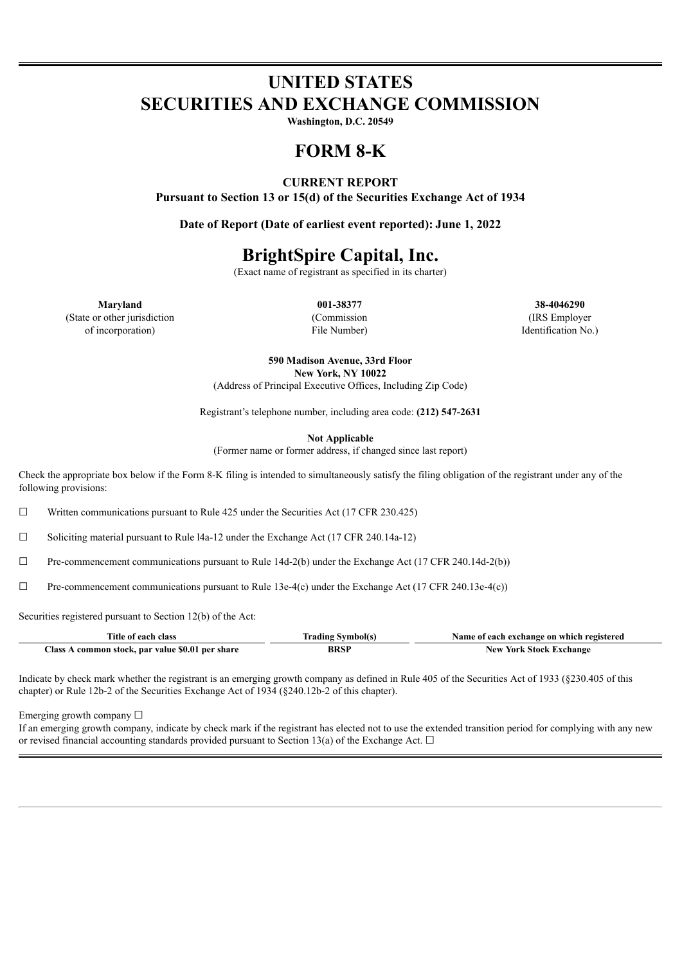# **UNITED STATES SECURITIES AND EXCHANGE COMMISSION**

**Washington, D.C. 20549**

## **FORM 8-K**

## **CURRENT REPORT**

**Pursuant to Section 13 or 15(d) of the Securities Exchange Act of 1934**

**Date of Report (Date of earliest event reported): June 1, 2022**

# **BrightSpire Capital, Inc.**

(Exact name of registrant as specified in its charter)

**Maryland 001-38377 38-4046290** (State or other jurisdiction (Commission (IRS Employer

of incorporation) File Number) File Number and The Internation No.)

**590 Madison Avenue, 33rd Floor New York, NY 10022** (Address of Principal Executive Offices, Including Zip Code)

Registrant's telephone number, including area code: **(212) 547-2631**

**Not Applicable**

(Former name or former address, if changed since last report)

Check the appropriate box below if the Form 8-K filing is intended to simultaneously satisfy the filing obligation of the registrant under any of the following provisions:

 $\Box$  Written communications pursuant to Rule 425 under the Securities Act (17 CFR 230.425)

☐ Soliciting material pursuant to Rule l4a-12 under the Exchange Act (17 CFR 240.14a-12)

 $\Box$  Pre-commencement communications pursuant to Rule 14d-2(b) under the Exchange Act (17 CFR 240.14d-2(b))

 $\Box$  Pre-commencement communications pursuant to Rule 13e-4(c) under the Exchange Act (17 CFR 240.13e-4(c))

Securities registered pursuant to Section 12(b) of the Act:

| Title of each class                              | Trading Symbol(s) | Name of each exchange on which registered |
|--------------------------------------------------|-------------------|-------------------------------------------|
| Class A common stock, par value \$0.01 per share | <b>BRSP</b>       | <b>New York Stock Exchange</b>            |

Indicate by check mark whether the registrant is an emerging growth company as defined in Rule 405 of the Securities Act of 1933 (§230.405 of this chapter) or Rule 12b-2 of the Securities Exchange Act of 1934 (§240.12b-2 of this chapter).

Emerging growth company  $\Box$ 

If an emerging growth company, indicate by check mark if the registrant has elected not to use the extended transition period for complying with any new or revised financial accounting standards provided pursuant to Section 13(a) of the Exchange Act.  $\Box$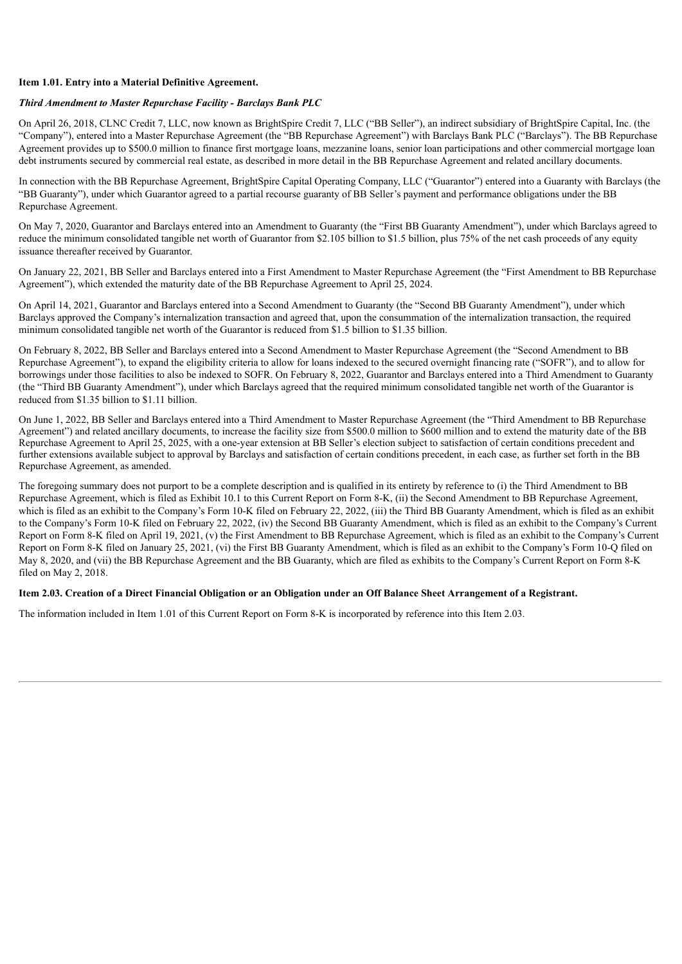#### **Item 1.01. Entry into a Material Definitive Agreement.**

#### *Third Amendment to Master Repurchase Facility - Barclays Bank PLC*

On April 26, 2018, CLNC Credit 7, LLC, now known as BrightSpire Credit 7, LLC ("BB Seller"), an indirect subsidiary of BrightSpire Capital, Inc. (the "Company"), entered into a Master Repurchase Agreement (the "BB Repurchase Agreement") with Barclays Bank PLC ("Barclays"). The BB Repurchase Agreement provides up to \$500.0 million to finance first mortgage loans, mezzanine loans, senior loan participations and other commercial mortgage loan debt instruments secured by commercial real estate, as described in more detail in the BB Repurchase Agreement and related ancillary documents.

In connection with the BB Repurchase Agreement, BrightSpire Capital Operating Company, LLC ("Guarantor") entered into a Guaranty with Barclays (the "BB Guaranty"), under which Guarantor agreed to a partial recourse guaranty of BB Seller's payment and performance obligations under the BB Repurchase Agreement.

On May 7, 2020, Guarantor and Barclays entered into an Amendment to Guaranty (the "First BB Guaranty Amendment"), under which Barclays agreed to reduce the minimum consolidated tangible net worth of Guarantor from \$2.105 billion to \$1.5 billion, plus 75% of the net cash proceeds of any equity issuance thereafter received by Guarantor.

On January 22, 2021, BB Seller and Barclays entered into a First Amendment to Master Repurchase Agreement (the "First Amendment to BB Repurchase Agreement"), which extended the maturity date of the BB Repurchase Agreement to April 25, 2024.

On April 14, 2021, Guarantor and Barclays entered into a Second Amendment to Guaranty (the "Second BB Guaranty Amendment"), under which Barclays approved the Company's internalization transaction and agreed that, upon the consummation of the internalization transaction, the required minimum consolidated tangible net worth of the Guarantor is reduced from \$1.5 billion to \$1.35 billion.

On February 8, 2022, BB Seller and Barclays entered into a Second Amendment to Master Repurchase Agreement (the "Second Amendment to BB Repurchase Agreement"), to expand the eligibility criteria to allow for loans indexed to the secured overnight financing rate ("SOFR"), and to allow for borrowings under those facilities to also be indexed to SOFR. On February 8, 2022, Guarantor and Barclays entered into a Third Amendment to Guaranty (the "Third BB Guaranty Amendment"), under which Barclays agreed that the required minimum consolidated tangible net worth of the Guarantor is reduced from \$1.35 billion to \$1.11 billion.

On June 1, 2022, BB Seller and Barclays entered into a Third Amendment to Master Repurchase Agreement (the "Third Amendment to BB Repurchase Agreement") and related ancillary documents, to increase the facility size from \$500.0 million to \$600 million and to extend the maturity date of the BB Repurchase Agreement to April 25, 2025, with a one-year extension at BB Seller's election subject to satisfaction of certain conditions precedent and further extensions available subject to approval by Barclays and satisfaction of certain conditions precedent, in each case, as further set forth in the BB Repurchase Agreement, as amended.

The foregoing summary does not purport to be a complete description and is qualified in its entirety by reference to (i) the Third Amendment to BB Repurchase Agreement, which is filed as Exhibit 10.1 to this Current Report on Form 8-K, (ii) the Second Amendment to BB Repurchase Agreement, which is filed as an exhibit to the Company's Form 10-K filed on February 22, 2022, (iii) the Third BB Guaranty Amendment, which is filed as an exhibit to the Company's Form 10-K filed on February 22, 2022, (iv) the Second BB Guaranty Amendment, which is filed as an exhibit to the Company's Current Report on Form 8-K filed on April 19, 2021, (v) the First Amendment to BB Repurchase Agreement, which is filed as an exhibit to the Company's Current Report on Form 8-K filed on January 25, 2021, (vi) the First BB Guaranty Amendment, which is filed as an exhibit to the Company's Form 10-Q filed on May 8, 2020, and (vii) the BB Repurchase Agreement and the BB Guaranty, which are filed as exhibits to the Company's Current Report on Form 8-K filed on May 2, 2018.

#### Item 2.03. Creation of a Direct Financial Obligation or an Obligation under an Off Balance Sheet Arrangement of a Registrant.

The information included in Item 1.01 of this Current Report on Form 8-K is incorporated by reference into this Item 2.03.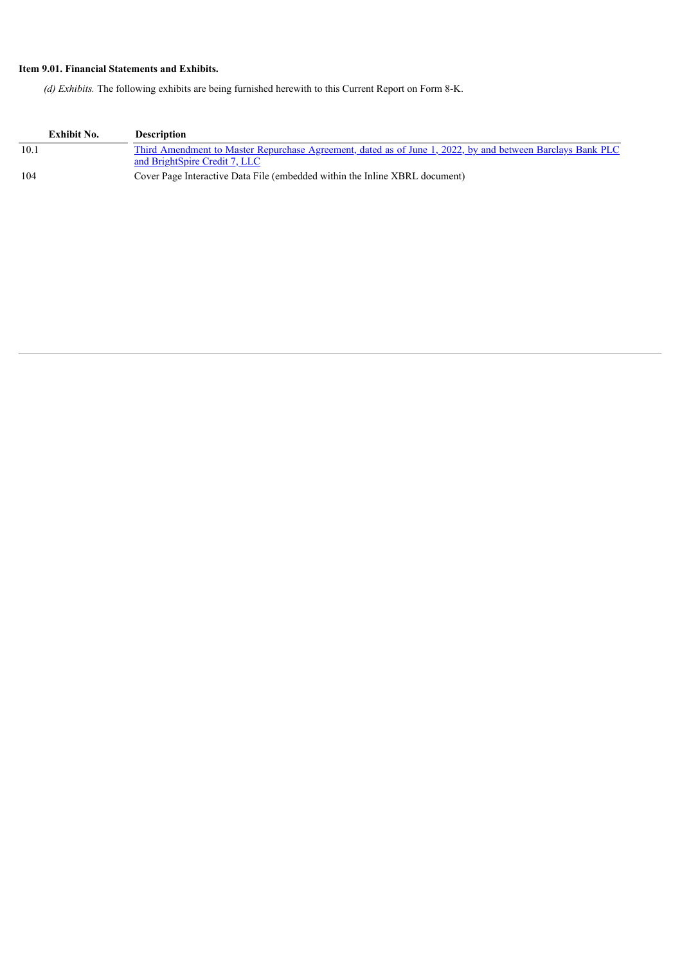## **Item 9.01. Financial Statements and Exhibits.**

*(d) Exhibits.* The following exhibits are being furnished herewith to this Current Report on Form 8-K.

| Exhibit No. | <b>Description</b>                                                                                                |
|-------------|-------------------------------------------------------------------------------------------------------------------|
| 10.1        | <u>Third Amendment to Master Repurchase Agreement, dated as of June 1, 2022, by and between Barclays Bank PLC</u> |
|             | and BrightSpire Credit 7, LLC                                                                                     |
| 104         | Cover Page Interactive Data File (embedded within the Inline XBRL document)                                       |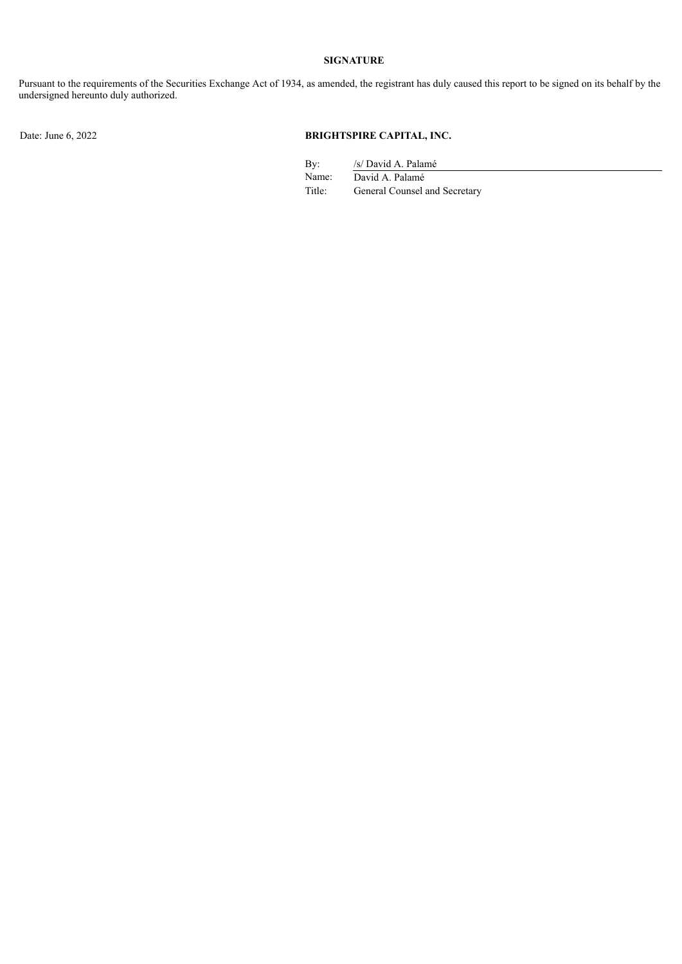## **SIGNATURE**

Pursuant to the requirements of the Securities Exchange Act of 1934, as amended, the registrant has duly caused this report to be signed on its behalf by the undersigned hereunto duly authorized.

## Date: June 6, 2022 **BRIGHTSPIRE CAPITAL, INC.**

By: /s/ David A. Palamé

Name: David A. Palamé Title: General Counsel and Secretary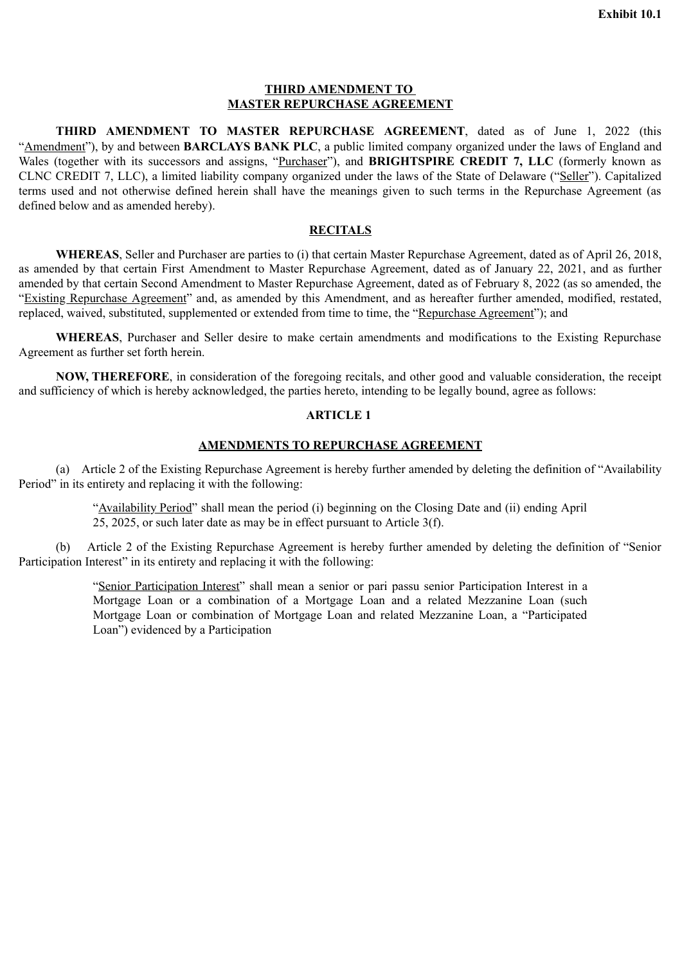## **THIRD AMENDMENT TO MASTER REPURCHASE AGREEMENT**

<span id="page-4-0"></span>**THIRD AMENDMENT TO MASTER REPURCHASE AGREEMENT**, dated as of June 1, 2022 (this "Amendment"), by and between **BARCLAYS BANK PLC**, a public limited company organized under the laws of England and Wales (together with its successors and assigns, "Purchaser"), and **BRIGHTSPIRE CREDIT 7, LLC** (formerly known as CLNC CREDIT 7, LLC), a limited liability company organized under the laws of the State of Delaware ("Seller"). Capitalized terms used and not otherwise defined herein shall have the meanings given to such terms in the Repurchase Agreement (as defined below and as amended hereby).

## **RECITALS**

**WHEREAS**, Seller and Purchaser are parties to (i) that certain Master Repurchase Agreement, dated as of April 26, 2018, as amended by that certain First Amendment to Master Repurchase Agreement, dated as of January 22, 2021, and as further amended by that certain Second Amendment to Master Repurchase Agreement, dated as of February 8, 2022 (as so amended, the "Existing Repurchase Agreement" and, as amended by this Amendment, and as hereafter further amended, modified, restated, replaced, waived, substituted, supplemented or extended from time to time, the "Repurchase Agreement"); and

**WHEREAS**, Purchaser and Seller desire to make certain amendments and modifications to the Existing Repurchase Agreement as further set forth herein.

**NOW, THEREFORE**, in consideration of the foregoing recitals, and other good and valuable consideration, the receipt and sufficiency of which is hereby acknowledged, the parties hereto, intending to be legally bound, agree as follows:

### **ARTICLE 1**

## **AMENDMENTS TO REPURCHASE AGREEMENT**

(a) Article 2 of the Existing Repurchase Agreement is hereby further amended by deleting the definition of "Availability Period" in its entirety and replacing it with the following:

> "Availability Period" shall mean the period (i) beginning on the Closing Date and (ii) ending April 25, 2025, or such later date as may be in effect pursuant to Article 3(f).

(b) Article 2 of the Existing Repurchase Agreement is hereby further amended by deleting the definition of "Senior Participation Interest" in its entirety and replacing it with the following:

> "Senior Participation Interest" shall mean a senior or pari passu senior Participation Interest in a Mortgage Loan or a combination of a Mortgage Loan and a related Mezzanine Loan (such Mortgage Loan or combination of Mortgage Loan and related Mezzanine Loan, a "Participated Loan") evidenced by a Participation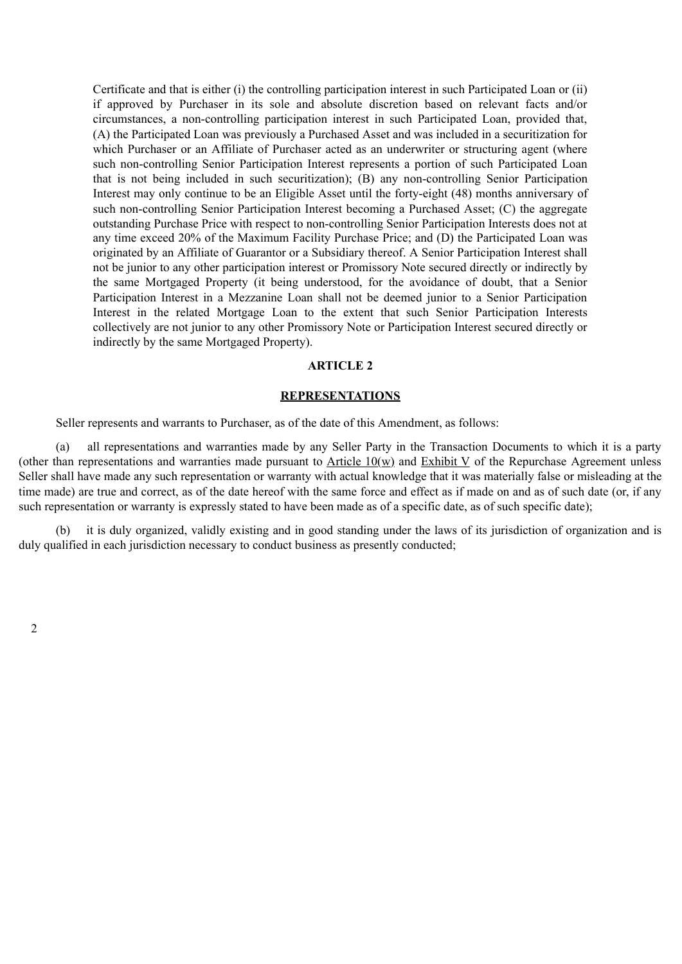Certificate and that is either (i) the controlling participation interest in such Participated Loan or (ii) if approved by Purchaser in its sole and absolute discretion based on relevant facts and/or circumstances, a non-controlling participation interest in such Participated Loan, provided that, (A) the Participated Loan was previously a Purchased Asset and was included in a securitization for which Purchaser or an Affiliate of Purchaser acted as an underwriter or structuring agent (where such non-controlling Senior Participation Interest represents a portion of such Participated Loan that is not being included in such securitization); (B) any non-controlling Senior Participation Interest may only continue to be an Eligible Asset until the forty-eight (48) months anniversary of such non-controlling Senior Participation Interest becoming a Purchased Asset: (C) the aggregate outstanding Purchase Price with respect to non-controlling Senior Participation Interests does not at any time exceed 20% of the Maximum Facility Purchase Price; and (D) the Participated Loan was originated by an Affiliate of Guarantor or a Subsidiary thereof. A Senior Participation Interest shall not be junior to any other participation interest or Promissory Note secured directly or indirectly by the same Mortgaged Property (it being understood, for the avoidance of doubt, that a Senior Participation Interest in a Mezzanine Loan shall not be deemed junior to a Senior Participation Interest in the related Mortgage Loan to the extent that such Senior Participation Interests collectively are not junior to any other Promissory Note or Participation Interest secured directly or indirectly by the same Mortgaged Property).

#### **ARTICLE 2**

## **REPRESENTATIONS**

Seller represents and warrants to Purchaser, as of the date of this Amendment, as follows:

(a) all representations and warranties made by any Seller Party in the Transaction Documents to which it is a party (other than representations and warranties made pursuant to Article  $10(w)$  and Exhibit V of the Repurchase Agreement unless Seller shall have made any such representation or warranty with actual knowledge that it was materially false or misleading at the time made) are true and correct, as of the date hereof with the same force and effect as if made on and as of such date (or, if any such representation or warranty is expressly stated to have been made as of a specific date, as of such specific date);

it is duly organized, validly existing and in good standing under the laws of its jurisdiction of organization and is duly qualified in each jurisdiction necessary to conduct business as presently conducted;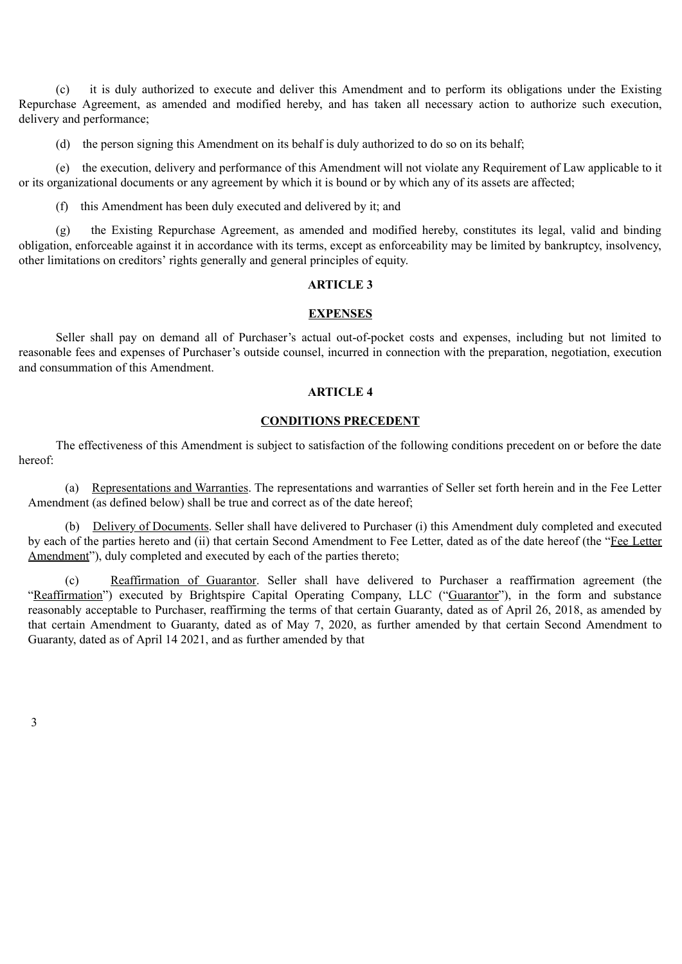(c) it is duly authorized to execute and deliver this Amendment and to perform its obligations under the Existing Repurchase Agreement, as amended and modified hereby, and has taken all necessary action to authorize such execution, delivery and performance;

(d) the person signing this Amendment on its behalf is duly authorized to do so on its behalf;

(e) the execution, delivery and performance of this Amendment will not violate any Requirement of Law applicable to it or its organizational documents or any agreement by which it is bound or by which any of its assets are affected;

(f) this Amendment has been duly executed and delivered by it; and

(g) the Existing Repurchase Agreement, as amended and modified hereby, constitutes its legal, valid and binding obligation, enforceable against it in accordance with its terms, except as enforceability may be limited by bankruptcy, insolvency, other limitations on creditors' rights generally and general principles of equity.

## **ARTICLE 3**

## **EXPENSES**

Seller shall pay on demand all of Purchaser's actual out-of-pocket costs and expenses, including but not limited to reasonable fees and expenses of Purchaser's outside counsel, incurred in connection with the preparation, negotiation, execution and consummation of this Amendment.

## **ARTICLE 4**

## **CONDITIONS PRECEDENT**

The effectiveness of this Amendment is subject to satisfaction of the following conditions precedent on or before the date hereof:

(a) Representations and Warranties. The representations and warranties of Seller set forth herein and in the Fee Letter Amendment (as defined below) shall be true and correct as of the date hereof;

(b) Delivery of Documents. Seller shall have delivered to Purchaser (i) this Amendment duly completed and executed by each of the parties hereto and (ii) that certain Second Amendment to Fee Letter, dated as of the date hereof (the "Fee Letter Amendment"), duly completed and executed by each of the parties thereto;

(c) Reaffirmation of Guarantor. Seller shall have delivered to Purchaser a reaffirmation agreement (the "Reaffirmation") executed by Brightspire Capital Operating Company, LLC ("Guarantor"), in the form and substance reasonably acceptable to Purchaser, reaffirming the terms of that certain Guaranty, dated as of April 26, 2018, as amended by that certain Amendment to Guaranty, dated as of May 7, 2020, as further amended by that certain Second Amendment to Guaranty, dated as of April 14 2021, and as further amended by that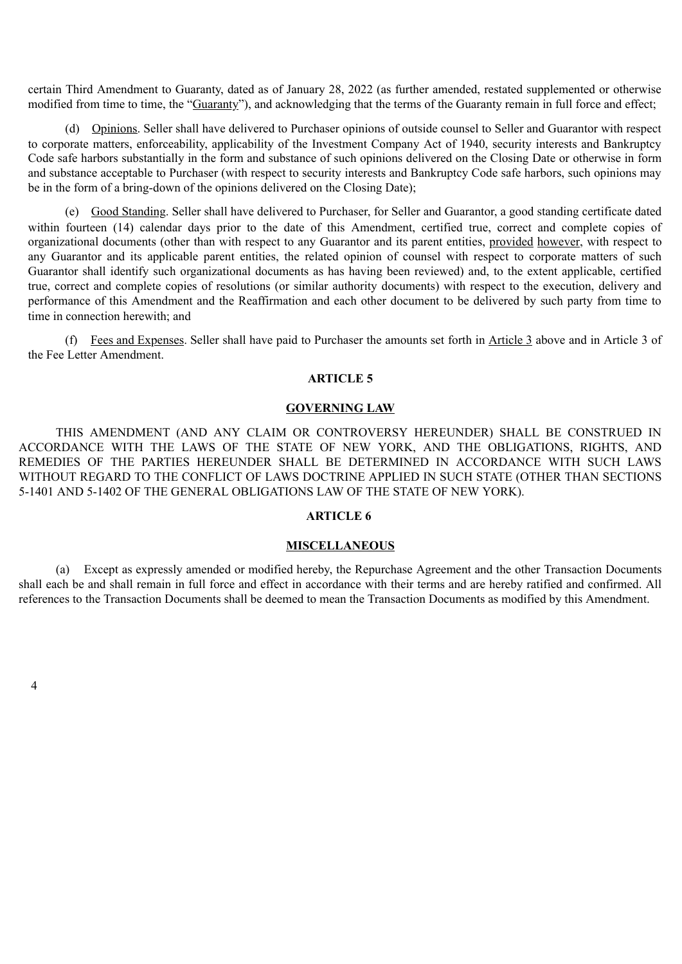certain Third Amendment to Guaranty, dated as of January 28, 2022 (as further amended, restated supplemented or otherwise modified from time to time, the "Guaranty"), and acknowledging that the terms of the Guaranty remain in full force and effect;

(d) Opinions. Seller shall have delivered to Purchaser opinions of outside counsel to Seller and Guarantor with respect to corporate matters, enforceability, applicability of the Investment Company Act of 1940, security interests and Bankruptcy Code safe harbors substantially in the form and substance of such opinions delivered on the Closing Date or otherwise in form and substance acceptable to Purchaser (with respect to security interests and Bankruptcy Code safe harbors, such opinions may be in the form of a bring-down of the opinions delivered on the Closing Date);

(e) Good Standing. Seller shall have delivered to Purchaser, for Seller and Guarantor, a good standing certificate dated within fourteen (14) calendar days prior to the date of this Amendment, certified true, correct and complete copies of organizational documents (other than with respect to any Guarantor and its parent entities, provided however, with respect to any Guarantor and its applicable parent entities, the related opinion of counsel with respect to corporate matters of such Guarantor shall identify such organizational documents as has having been reviewed) and, to the extent applicable, certified true, correct and complete copies of resolutions (or similar authority documents) with respect to the execution, delivery and performance of this Amendment and the Reaffirmation and each other document to be delivered by such party from time to time in connection herewith; and

(f) Fees and Expenses. Seller shall have paid to Purchaser the amounts set forth in Article 3 above and in Article 3 of the Fee Letter Amendment.

#### **ARTICLE 5**

#### **GOVERNING LAW**

THIS AMENDMENT (AND ANY CLAIM OR CONTROVERSY HEREUNDER) SHALL BE CONSTRUED IN ACCORDANCE WITH THE LAWS OF THE STATE OF NEW YORK, AND THE OBLIGATIONS, RIGHTS, AND REMEDIES OF THE PARTIES HEREUNDER SHALL BE DETERMINED IN ACCORDANCE WITH SUCH LAWS WITHOUT REGARD TO THE CONFLICT OF LAWS DOCTRINE APPLIED IN SUCH STATE (OTHER THAN SECTIONS 5-1401 AND 5-1402 OF THE GENERAL OBLIGATIONS LAW OF THE STATE OF NEW YORK).

## **ARTICLE 6**

#### **MISCELLANEOUS**

(a) Except as expressly amended or modified hereby, the Repurchase Agreement and the other Transaction Documents shall each be and shall remain in full force and effect in accordance with their terms and are hereby ratified and confirmed. All references to the Transaction Documents shall be deemed to mean the Transaction Documents as modified by this Amendment.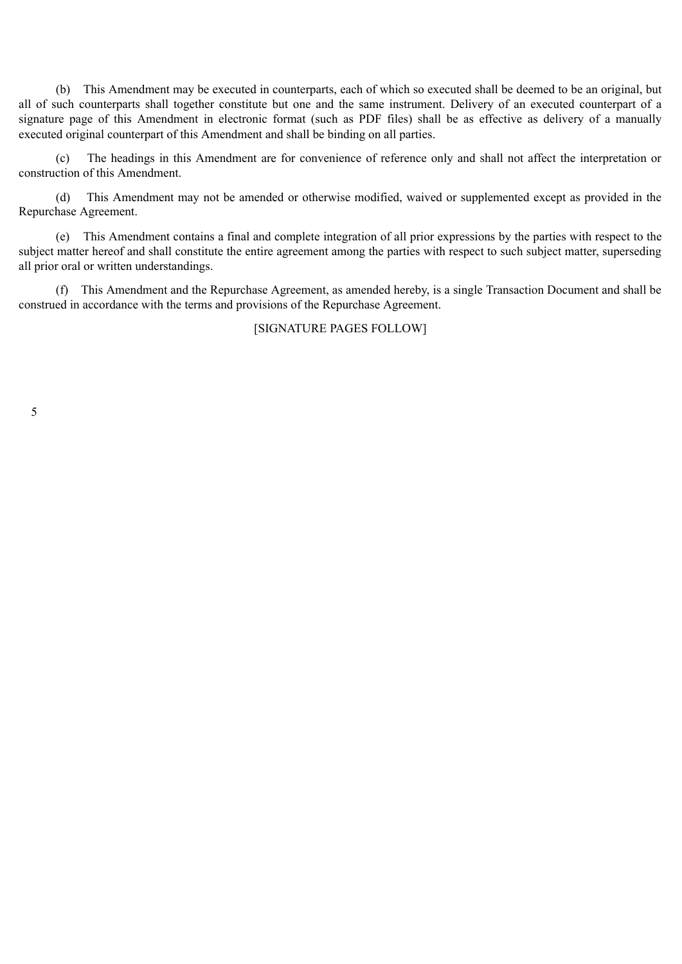(b) This Amendment may be executed in counterparts, each of which so executed shall be deemed to be an original, but all of such counterparts shall together constitute but one and the same instrument. Delivery of an executed counterpart of a signature page of this Amendment in electronic format (such as PDF files) shall be as effective as delivery of a manually executed original counterpart of this Amendment and shall be binding on all parties.

(c) The headings in this Amendment are for convenience of reference only and shall not affect the interpretation or construction of this Amendment.

(d) This Amendment may not be amended or otherwise modified, waived or supplemented except as provided in the Repurchase Agreement.

(e) This Amendment contains a final and complete integration of all prior expressions by the parties with respect to the subject matter hereof and shall constitute the entire agreement among the parties with respect to such subject matter, superseding all prior oral or written understandings.

(f) This Amendment and the Repurchase Agreement, as amended hereby, is a single Transaction Document and shall be construed in accordance with the terms and provisions of the Repurchase Agreement.

## [SIGNATURE PAGES FOLLOW]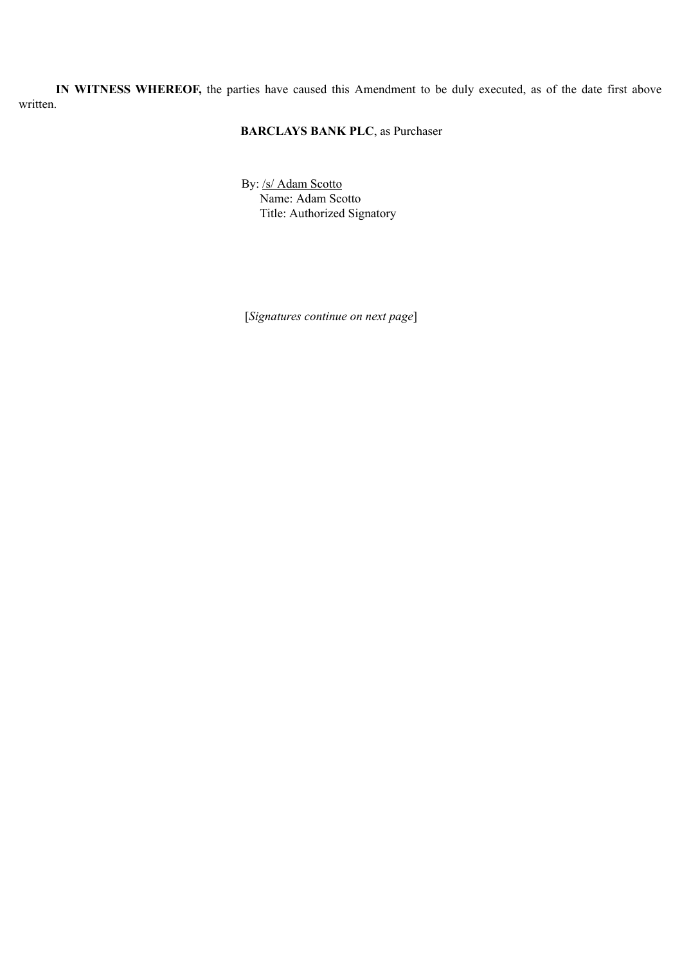**IN WITNESS WHEREOF,** the parties have caused this Amendment to be duly executed, as of the date first above written.

## **BARCLAYS BANK PLC**, as Purchaser

By: /s/ Adam Scotto Name: Adam Scotto Title: Authorized Signatory

[*Signatures continue on next page*]